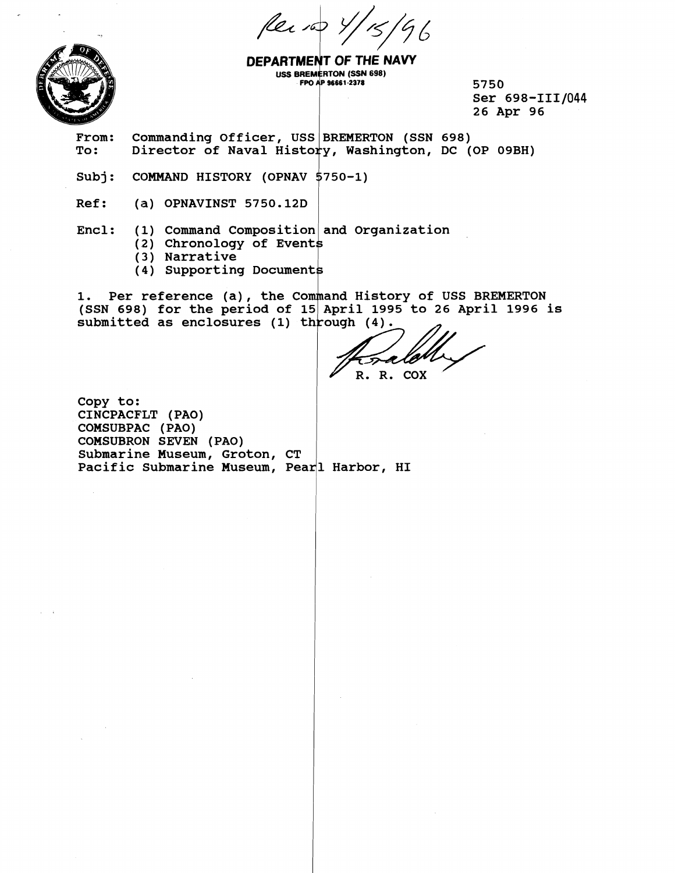Per 100 Y Ъ



DEPARTMENT OF THE NAVY **USS BREMERTON (SSN 698) FPO AP 96661-2378** 

**5750**  Ser 698-III/044 **26 Apr 96** 

From: Commanding Officer, USS BREMERTON (SSN 698)<br>To: Director of Naval History, Washington, DC ( **To:** Director of Naval History, Washington, DC (OP 09BH)<br>
Subj: COMMAND HISTORY (OPNAV 5750-1)<br>
Ref: (a) OPNAVINST 5750.12D

**Ref: (a) OPNAVINST 5750.12D** 

Encl: (1) Command Composition and Organization

- **(2) Chronology of Event**
- ( **3** ) **Narrative**
- **(4) Supporting Document**

1. Per reference (a), the Command History of USS BREMERTON **(SSN 698) for the period of**  submitted as enclosures (1) through (4).

R. R. COX

**Copy to: CINCPACPLT (PAO) COMSUBPAC (PAO) COMSUBRON SEVEN (PAO) Submarine Museum, Groton, CT**  Pacific Submarine Museum, Pear<sup>1</sup> Harbor, HI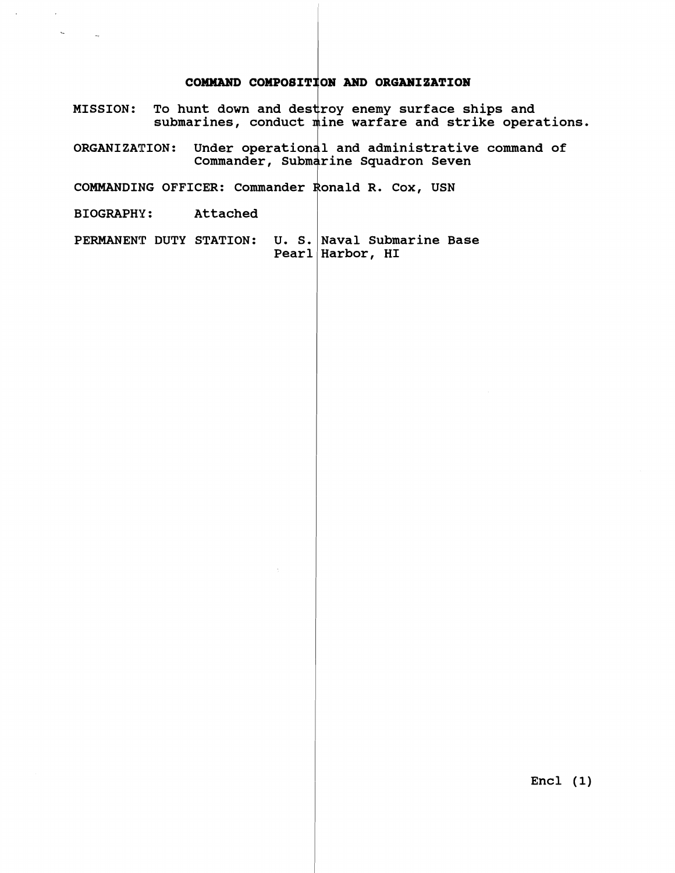## **COMMAND COMPOSITION AND ORGANIZATION**

- **MISSION:** To hunt down and destro **submarines, conduct roy enemy surface ships and ine warfare and strike operations.**
- **ORGAN1 ZA1CION** : **Under operat ior 1 and administrative command of**  Commander, Submarine Squadron Seven

COMMANDING OFFICER: Commander Ronald R. Cox, USN

**BIOGRAPHY** : **Attached** 

 $\tilde{\mathcal{A}}_{\mathbf{a}}$ 

**PERMANENT DUTY STATION: U. S, Naval Submarine Base Pearl Harbor, HI** 

**Encl (1)**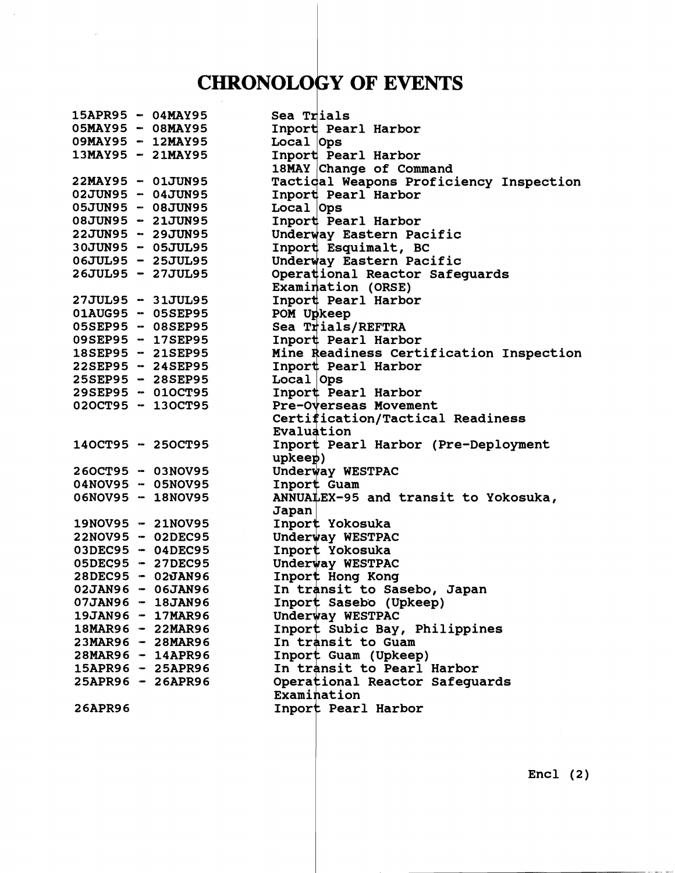## **CHRONOLOGY OF EVENTS**

 $\mathcal{A}$ 

| 15APR95 - 04MAY95 |                     | Sea Trials                              |
|-------------------|---------------------|-----------------------------------------|
| 05MAY95 - 08MAY95 |                     | Inport Pearl Harbor                     |
| 09MAY95 - 12MAY95 |                     | Local Ops                               |
| 13MAY95 - 21MAY95 |                     | Inport Pearl Harbor                     |
|                   |                     | 18MAY Change of Command                 |
| 22MAY95 - 01JUN95 |                     | Tactical Weapons Proficiency Inspection |
| 02JUN95 - 04JUN95 |                     | Inport Pearl Harbor                     |
| 05JUN95 - 08JUN95 |                     | Local <b>Ops</b>                        |
| 08JUN95 - 21JUN95 |                     | Inport Pearl Harbor                     |
| 22JUN95 - 29JUN95 |                     | Underway Eastern Pacific                |
| 30JUN95 - 05JUL95 |                     | Inport Esquimalt, BC                    |
| 06JUL95 - 25JUL95 |                     | Underway Eastern Pacific                |
| 26JUL95 - 27JUL95 |                     | Operational Reactor Safeguards          |
|                   |                     | Examination (ORSE)                      |
| 27JUL95 - 31JUL95 |                     | Inport Pearl Harbor                     |
| 01AUG95 - 05SEP95 |                     | POM Upkeep                              |
| 05SEP95 - 08SEP95 |                     | Sea Trials/REFTRA                       |
| 09SEP95 - 17SEP95 |                     | Inport Pearl Harbor                     |
| 18SEP95 - 21SEP95 |                     | Mine Readiness Certification Inspection |
| 22SEP95 - 24SEP95 |                     | Inport Pearl Harbor                     |
| 25SEP95 - 28SEP95 |                     | Local Ops                               |
|                   | 29SEP95 - 01OCT95   | Inport Pearl Harbor                     |
| 020CT95 - 130CT95 |                     | Pre-Overseas Movement                   |
|                   |                     | Certification/Tactical Readiness        |
|                   |                     | Evaluation                              |
| 140CT95 - 250CT95 |                     | Inport Pearl Harbor (Pre-Deployment     |
|                   |                     | upkeep)                                 |
| 260CT95 - 03NOV95 |                     | Underway WESTPAC                        |
| 04NOV95 - 05NOV95 |                     | Inport Guam                             |
| 06NOV95 - 18NOV95 |                     | ANNUALEX-95 and transit to Yokosuka,    |
|                   |                     | Japan                                   |
| 19NOV95 - 21NOV95 |                     | Inport Yokosuka                         |
|                   | 22NOV95 - 02DEC95   | Underway WESTPAC                        |
|                   | 03DEC95 - 04DEC95   | Inport Yokosuka                         |
| 05DEC95 - 27DEC95 |                     | Underway WESTPAC                        |
| 28DEC95 - 02JAN96 |                     | Inport Hong Kong                        |
| 02JAN96 - 06JAN96 |                     | In transit to Sasebo, Japan             |
| 07JAN96 - 18JAN96 |                     | Inport Sasebo (Upkeep)                  |
|                   | 19JAN96 - 17MAR96   | Underway WESTPAC                        |
|                   | 18MAR96 - 22MAR96   | Inport Subic Bay, Philippines           |
|                   | 23MAR96 - 28MAR96   | In transit to Guam                      |
|                   | 28MAR96 - 14APR96   | Inport Guam (Upkeep)                    |
|                   | 15APR96 - 25APR96   | In transit to Pearl Harbor              |
|                   | $25APR96 - 26APR96$ | Operational Reactor Safeguards          |
|                   |                     | Examination                             |
| <b>26APR96</b>    |                     | Inport Pearl Harbor                     |
|                   |                     |                                         |

 $Encl$  (2)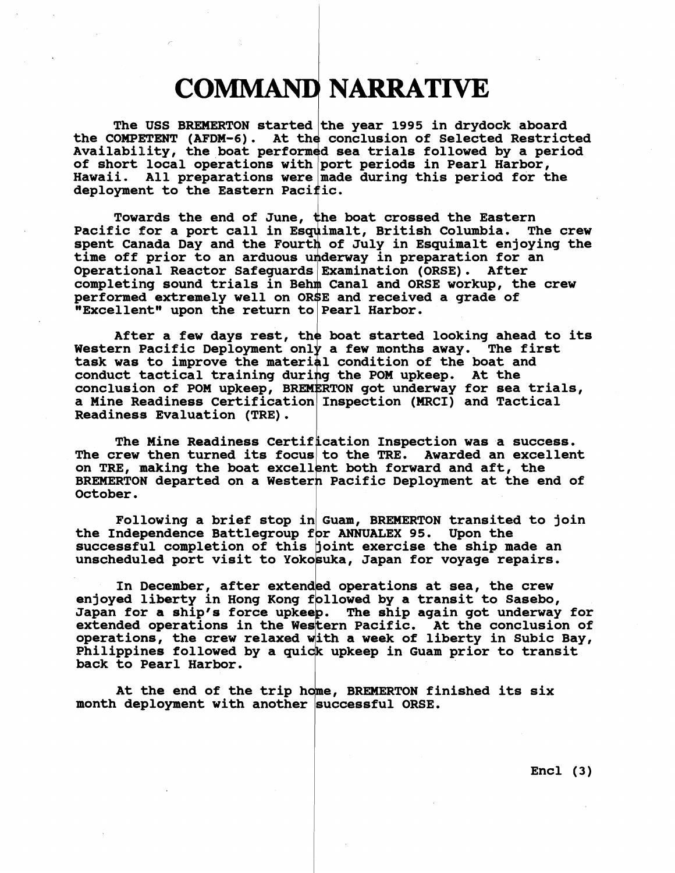## **COMMAND NARRATIVE**

The USS BREMERTON started the year 1995 in drydock aboard the COMPETENT (AFDM-6). At the conclusion of Selected Restricted Availability, the boat performed sea trials followed by a period of short local operations with port periods in Pearl Harbor, Hawaii. All preparations were made during this period for the deployment to the Eastern Pacific. **of short local operations with port periods in Pearl Harbor,**  Hawaii. All preparations were made during this period for the deployment to the Eastern Pacific.

Towards the end of June, the boat crossed the Eastern<br>ic for a port call in Esquimalt, British Columbia. The crew Pacific for a port call in Esquimalt, British Columbia. spent Canada Day and the Fourth of July in Esquimalt enjoying the time off prior to an arduous underway in preparation for an **Operational Reactor**  completing sound trials in Behm Canal and ORSE workup, the crew performed extremely well on ORSE and received a grade of<br>"Excellent" upon the return to Pearl Harbor.

After a few days rest, the boat started looking ahead to its Western Pacific Deployment only a few months away. The first task was to improve the material condition of the boat and conduct tactical training during the POM upkeep. At the conclusion of POM upkeep, BREMERTON got underway for sea trials, a Mine Readiness Certification Inspection (MRCI) and Tactical Readiness Evaluation (TRE).

The Mine Readiness Certification Inspection was a success. The crew then turned its focus to the TRE. Awarded an excellent on TRE, making the boat excellent both forward and aft, the BREMERTON departed on a Western Pacific Deployment at the end of **October.** 

**Following a brief stop in Guam, BREMERTON transited to join**  the Independence Battlegroup for ANNUALEX 95. Upon the successful completion of this joint exercise the ship made an unscheduled port visit to Yokosuka, Japan for voyage repairs.

In December, after extended operations at sea, the crew enjoyed liberty in Hong Kong followed by a transit to Sasebo, Japan for a ship's force upkeep. The ship again got underway for extended operations in the Western Pacific. At the conclusion of **operations, the crew relaxed with a week of liberty in Subic Bay,** Philippines followed by a quick upkeep in Guam prior to transit back to Pearl Harbor. extended operations in the Western **loperations, the crew relaxed with a**<br>Philippines followed by a quick upke<br>back to Pearl Harbor.

At the end of the trip home, BREMERTON finished its six month deployment with another successful ORSE.

**Encl (3)**